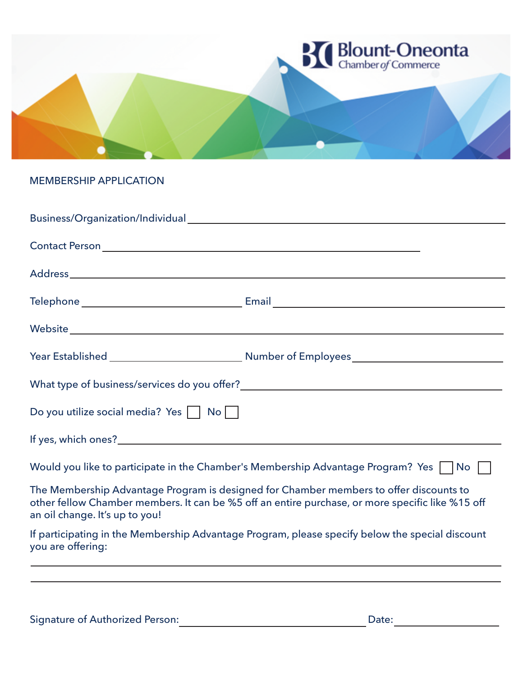

### MEMBERSHIP APPLICATION

| Do you utilize social media? Yes     No                                                 |                                                                                                                                                                                            |  |
|-----------------------------------------------------------------------------------------|--------------------------------------------------------------------------------------------------------------------------------------------------------------------------------------------|--|
|                                                                                         |                                                                                                                                                                                            |  |
| Would you like to participate in the Chamber's Membership Advantage Program? Yes     No |                                                                                                                                                                                            |  |
| an oil change. It's up to you!                                                          | The Membership Advantage Program is designed for Chamber members to offer discounts to<br>other fellow Chamber members. It can be %5 off an entire purchase, or more specific like %15 off |  |
| you are offering:                                                                       | If participating in the Membership Advantage Program, please specify below the special discount                                                                                            |  |
|                                                                                         |                                                                                                                                                                                            |  |

Signature of Authorized Person: Date: Date: Date: Date: Date: